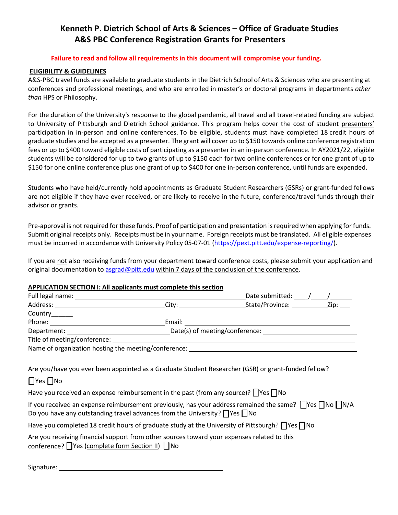# **Kenneth P. Dietrich School of Arts & Sciences – Office of Graduate Studies A&S PBC Conference Registration Grants for Presenters**

#### **Failure to read and follow all requirements in this document will compromise your funding.**

### **ELIGIBILITY & GUIDELINES**

A&S-PBC travel funds are available to graduate students in the Dietrich School of Arts & Sciences who are presenting at conferences and professional meetings, and who are enrolled in master's or doctoral programs in departments *other than* HPS or Philosophy.

For the duration of the University's response to the global pandemic, all travel and all travel-related funding are subject to University of Pittsburgh and Dietrich School guidance. This program helps cover the cost of student presenters' participation in in-person and online conferences. To be eligible, students must have completed 18 credit hours of graduate studies and be accepted as a presenter. The grant will cover up to \$150 towards online conference registration fees or up to \$400 toward eligible costs of participating as a presenter in an in-person conference. In AY2021/22, eligible students will be considered for up to two grants of up to \$150 each for two online conferences or for one grant of up to \$150 for one online conference plus one grant of up to \$400 for one in-person conference, until funds are expended.

Students who have held/currently hold appointments as Graduate Student Researchers (GSRs) or grant-funded fellows are not eligible if they have ever received, or are likely to receive in the future, conference/travel funds through their advisor or grants.

Pre-approval is not required for these funds. Proof of participation and presentation is required when applying for funds. Submit original receipts only. Receipts must be in your name. Foreign receipts must be translated. All eligible expenses must be incurred in accordance with University Policy 05-07-01 [\(https://pext.pitt.edu/expense-reporting/\)](https://pext.pitt.edu/expense-reporting/).

If you are not also receiving funds from your department toward conference costs, please submit your application and original documentation to [asgrad@pitt.edu](mailto:asgrad@pitt.edu) within 7 days of the conclusion of the conference.

#### **APPLICATION SECTION I: All applicants must complete this section**

| AT LEATION SECTION II AII applicatio thase complete employeem                                                                                                                                                                                               | Date submitted: $\frac{1}{\sqrt{1-\frac{1}{2}}}\frac{1}{\sqrt{1-\frac{1}{2}}}\frac{1}{\sqrt{1-\frac{1}{2}}}\frac{1}{\sqrt{1-\frac{1}{2}}}\frac{1}{\sqrt{1-\frac{1}{2}}}\frac{1}{\sqrt{1-\frac{1}{2}}}\frac{1}{\sqrt{1-\frac{1}{2}}}\frac{1}{\sqrt{1-\frac{1}{2}}}\frac{1}{\sqrt{1-\frac{1}{2}}}\frac{1}{\sqrt{1-\frac{1}{2}}}\frac{1}{\sqrt{1-\frac{1}{2}}}\frac{1}{\sqrt{1-\frac{1}{2}}}\frac{1}{\sqrt{1-\frac{$ |  |
|-------------------------------------------------------------------------------------------------------------------------------------------------------------------------------------------------------------------------------------------------------------|-------------------------------------------------------------------------------------------------------------------------------------------------------------------------------------------------------------------------------------------------------------------------------------------------------------------------------------------------------------------------------------------------------------------|--|
|                                                                                                                                                                                                                                                             |                                                                                                                                                                                                                                                                                                                                                                                                                   |  |
| Country______                                                                                                                                                                                                                                               |                                                                                                                                                                                                                                                                                                                                                                                                                   |  |
|                                                                                                                                                                                                                                                             |                                                                                                                                                                                                                                                                                                                                                                                                                   |  |
|                                                                                                                                                                                                                                                             |                                                                                                                                                                                                                                                                                                                                                                                                                   |  |
| Title of meeting/conference: __                                                                                                                                                                                                                             |                                                                                                                                                                                                                                                                                                                                                                                                                   |  |
| Name of organization hosting the meeting/conference: ____________________________                                                                                                                                                                           |                                                                                                                                                                                                                                                                                                                                                                                                                   |  |
| $\Box$ Yes $\Box$ No<br>Have you received an expense reimbursement in the past (from any source)? $\Box$ Yes $\Box$ No<br>If you received an expense reimbursement previously, has your address remained the same? $\bigcap$ Yes $\bigcap$ No $\bigcap N/A$ |                                                                                                                                                                                                                                                                                                                                                                                                                   |  |
| Do you have any outstanding travel advances from the University? $\bigcap$ Yes $\bigcap$ No                                                                                                                                                                 |                                                                                                                                                                                                                                                                                                                                                                                                                   |  |
| Have you completed 18 credit hours of graduate study at the University of Pittsburgh? $\bigcap$ Yes $\bigcap$ No                                                                                                                                            |                                                                                                                                                                                                                                                                                                                                                                                                                   |  |
| Are you receiving financial support from other sources toward your expenses related to this<br>conference? TYes (complete form Section II) No                                                                                                               |                                                                                                                                                                                                                                                                                                                                                                                                                   |  |

Signature: 1988 1999